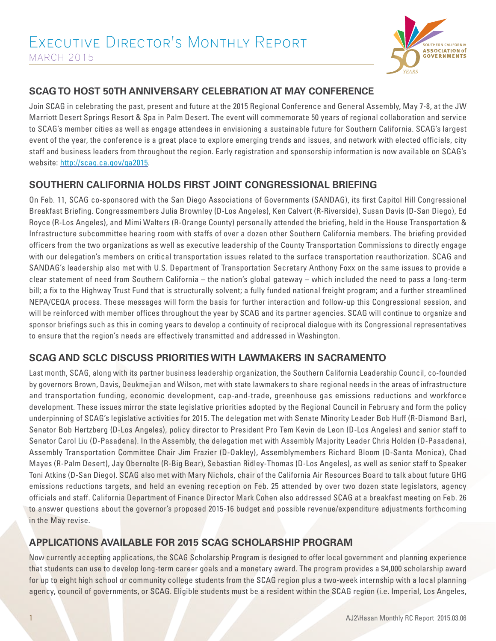

# **SCAG TO HOST 50TH ANNIVERSARY CELEBRATION AT MAY CONFERENCE**

Join SCAG in celebrating the past, present and future at the 2015 Regional Conference and General Assembly, May 7-8, at the JW Marriott Desert Springs Resort & Spa in Palm Desert. The event will commemorate 50 years of regional collaboration and service to SCAG's member cities as well as engage attendees in envisioning a sustainable future for Southern California. SCAG's largest event of the year, the conference is a great place to explore emerging trends and issues, and network with elected officials, city staff and business leaders from throughout the region. Early registration and sponsorship information is now available on SCAG's website: http://scag.ca.gov/ga2015.

# **SOUTHERN CALIFORNIA HOLDS FIRST JOINT CONGRESSIONAL BRIEFING**

On Feb. 11, SCAG co-sponsored with the San Diego Associations of Governments (SANDAG), its first Capitol Hill Congressional Breakfast Briefing. Congressmembers Julia Brownley (D-Los Angeles), Ken Calvert (R-Riverside), Susan Davis (D-San Diego), Ed Royce (R-Los Angeles), and Mimi Walters (R-Orange County) personally attended the briefing, held in the House Transportation & Infrastructure subcommittee hearing room with staffs of over a dozen other Southern California members. The briefing provided officers from the two organizations as well as executive leadership of the County Transportation Commissions to directly engage with our delegation's members on critical transportation issues related to the surface transportation reauthorization. SCAG and SANDAG's leadership also met with U.S. Department of Transportation Secretary Anthony Foxx on the same issues to provide a clear statement of need from Southern California – the nation's global gateway – which included the need to pass a long-term bill; a fix to the Highway Trust Fund that is structurally solvent; a fully funded national freight program; and a further streamlined NEPA/CEQA process. These messages will form the basis for further interaction and follow-up this Congressional session, and will be reinforced with member offices throughout the year by SCAG and its partner agencies. SCAG will continue to organize and sponsor briefings such as this in coming years to develop a continuity of reciprocal dialogue with its Congressional representatives to ensure that the region's needs are effectively transmitted and addressed in Washington.

### **SCAG AND SCLC DISCUSS PRIORITIES WITH LAWMAKERS IN SACRAMENTO**

Last month, SCAG, along with its partner business leadership organization, the Southern California Leadership Council, co-founded by governors Brown, Davis, Deukmejian and Wilson, met with state lawmakers to share regional needs in the areas of infrastructure and transportation funding, economic development, cap-and-trade, greenhouse gas emissions reductions and workforce development. These issues mirror the state legislative priorities adopted by the Regional Council in February and form the policy underpinning of SCAG's legislative activities for 2015. The delegation met with Senate Minority Leader Bob Huff (R-Diamond Bar), Senator Bob Hertzberg (D-Los Angeles), policy director to President Pro Tem Kevin de Leon (D-Los Angeles) and senior staff to Senator Carol Liu (D-Pasadena). In the Assembly, the delegation met with Assembly Majority Leader Chris Holden (D-Pasadena), Assembly Transportation Committee Chair Jim Frazier (D-Oakley), Assemblymembers Richard Bloom (D-Santa Monica), Chad Mayes (R-Palm Desert), Jay Obernolte (R-Big Bear), Sebastian Ridley-Thomas (D-Los Angeles), as well as senior staff to Speaker Toni Atkins (D-San Diego). SCAG also met with Mary Nichols, chair of the California Air Resources Board to talk about future GHG emissions reductions targets, and held an evening reception on Feb. 25 attended by over two dozen state legislators, agency officials and staff. California Department of Finance Director Mark Cohen also addressed SCAG at a breakfast meeting on Feb. 26 to answer questions about the governor's proposed 2015-16 budget and possible revenue/expenditure adjustments forthcoming in the May revise.

# **APPLICATIONS AVAILABLE FOR 2015 SCAG SCHOLARSHIP PROGRAM**

Now currently accepting applications, the SCAG Scholarship Program is designed to offer local government and planning experience that students can use to develop long-term career goals and a monetary award. The program provides a \$4,000 scholarship award for up to eight high school or community college students from the SCAG region plus a two-week internship with a local planning agency, council of governments, or SCAG. Eligible students must be a resident within the SCAG region (i.e. Imperial, Los Angeles,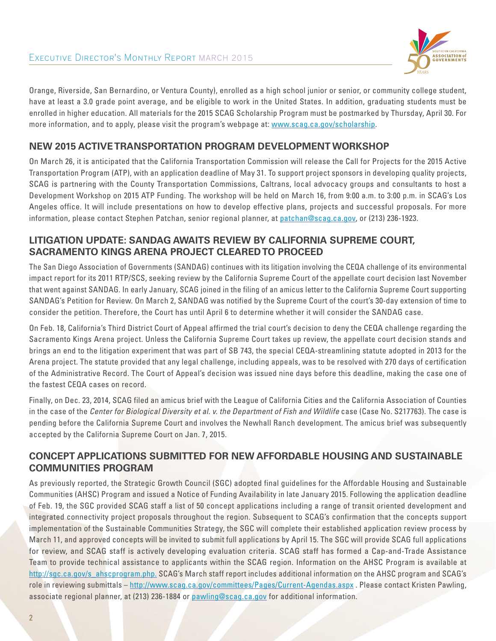

Orange, Riverside, San Bernardino, or Ventura County), enrolled as a high school junior or senior, or community college student, have at least a 3.0 grade point average, and be eligible to work in the United States. In addition, graduating students must be enrolled in higher education. All materials for the 2015 SCAG Scholarship Program must be postmarked by Thursday, April 30. For more information, and to apply, please visit the program's webpage at: www.scag.ca.gov/scholarship.

### **NEW 2015 ACTIVE TRANSPORTATION PROGRAM DEVELOPMENT WORKSHOP**

On March 26, it is anticipated that the California Transportation Commission will release the Call for Projects for the 2015 Active Transportation Program (ATP), with an application deadline of May 31. To support project sponsors in developing quality projects, SCAG is partnering with the County Transportation Commissions, Caltrans, local advocacy groups and consultants to host a Development Workshop on 2015 ATP Funding. The workshop will be held on March 16, from 9:00 a.m. to 3:00 p.m. in SCAG's Los Angeles office. It will include presentations on how to develop effective plans, projects and successful proposals. For more information, please contact Stephen Patchan, senior regional planner, at patchan@scag.ca.gov, or (213) 236-1923.

## **LITIGATION UPDATE: SANDAG AWAITS REVIEW BY CALIFORNIA SUPREME COURT, SACRAMENTO KINGS ARENA PROJECT CLEARED TO PROCEED**

The San Diego Association of Governments (SANDAG) continues with its litigation involving the CEQA challenge of its environmental impact report for its 2011 RTP/SCS, seeking review by the California Supreme Court of the appellate court decision last November that went against SANDAG. In early January, SCAG joined in the filing of an amicus letter to the California Supreme Court supporting SANDAG's Petition for Review. On March 2, SANDAG was notified by the Supreme Court of the court's 30-day extension of time to consider the petition. Therefore, the Court has until April 6 to determine whether it will consider the SANDAG case.

On Feb. 18, California's Third District Court of Appeal affirmed the trial court's decision to deny the CEQA challenge regarding the Sacramento Kings Arena project. Unless the California Supreme Court takes up review, the appellate court decision stands and brings an end to the litigation experiment that was part of SB 743, the special CEQA-streamlining statute adopted in 2013 for the Arena project. The statute provided that any legal challenge, including appeals, was to be resolved with 270 days of certification of the Administrative Record. The Court of Appeal's decision was issued nine days before this deadline, making the case one of the fastest CEQA cases on record.

Finally, on Dec. 23, 2014, SCAG filed an amicus brief with the League of California Cities and the California Association of Counties in the case of the *Center for Biological Diversity et al. v. the Department of Fish and Wildlife* case (Case No. S217763). The case is pending before the California Supreme Court and involves the Newhall Ranch development. The amicus brief was subsequently accepted by the California Supreme Court on Jan. 7, 2015.

## **CONCEPT APPLICATIONS SUBMITTED FOR NEW AFFORDABLE HOUSING AND SUSTAINABLE COMMUNITIES PROGRAM**

As previously reported, the Strategic Growth Council (SGC) adopted final guidelines for the Affordable Housing and Sustainable Communities (AHSC) Program and issued a Notice of Funding Availability in late January 2015. Following the application deadline of Feb. 19, the SGC provided SCAG staff a list of 50 concept applications including a range of transit oriented development and integrated connectivity project proposals throughout the region. Subsequent to SCAG's confirmation that the concepts support implementation of the Sustainable Communities Strategy, the SGC will complete their established application review process by March 11, and approved concepts will be invited to submit full applications by April 15. The SGC will provide SCAG full applications for review, and SCAG staff is actively developing evaluation criteria. SCAG staff has formed a Cap-and-Trade Assistance Team to provide technical assistance to applicants within the SCAG region. Information on the AHSC Program is available at http://sgc.ca.gov/s\_ahscprogram.php. SCAG's March staff report includes additional information on the AHSC program and SCAG's role in reviewing submittals – http://www.scag.ca.gov/committees/Pages/Current-Agendas.aspx . Please contact Kristen Pawling, associate regional planner, at (213) 236-1884 or pawling@scag.ca.gov for additional information.